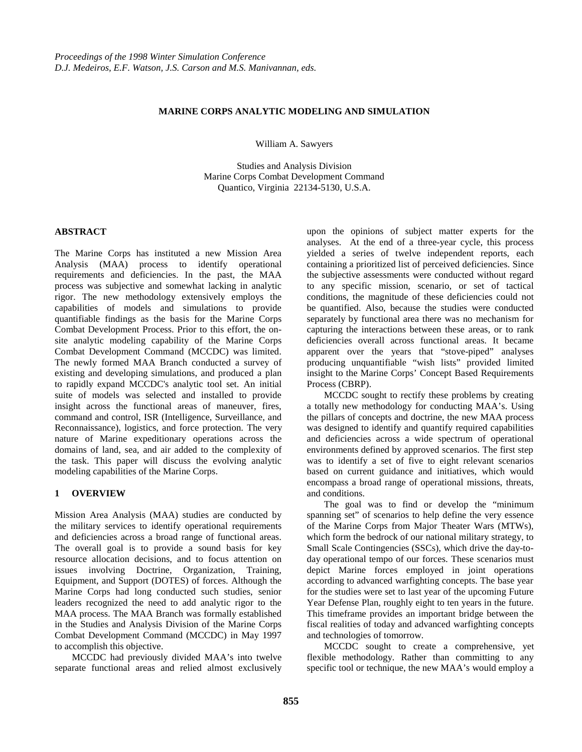# **MARINE CORPS ANALYTIC MODELING AND SIMULATION**

William A. Sawyers

Studies and Analysis Division Marine Corps Combat Development Command Quantico, Virginia 22134-5130, U.S.A.

#### **ABSTRACT**

The Marine Corps has instituted a new Mission Area Analysis (MAA) process to identify operational requirements and deficiencies. In the past, the MAA process was subjective and somewhat lacking in analytic rigor. The new methodology extensively employs the capabilities of models and simulations to provide quantifiable findings as the basis for the Marine Corps Combat Development Process. Prior to this effort, the onsite analytic modeling capability of the Marine Corps Combat Development Command (MCCDC) was limited. The newly formed MAA Branch conducted a survey of existing and developing simulations, and produced a plan to rapidly expand MCCDC's analytic tool set. An initial suite of models was selected and installed to provide insight across the functional areas of maneuver, fires, command and control, ISR (Intelligence, Surveillance, and Reconnaissance), logistics, and force protection. The very nature of Marine expeditionary operations across the domains of land, sea, and air added to the complexity of the task. This paper will discuss the evolving analytic modeling capabilities of the Marine Corps.

### **1 OVERVIEW**

Mission Area Analysis (MAA) studies are conducted by the military services to identify operational requirements and deficiencies across a broad range of functional areas. The overall goal is to provide a sound basis for key resource allocation decisions, and to focus attention on issues involving Doctrine, Organization, Training, Equipment, and Support (DOTES) of forces. Although the Marine Corps had long conducted such studies, senior leaders recognized the need to add analytic rigor to the MAA process. The MAA Branch was formally established in the Studies and Analysis Division of the Marine Corps Combat Development Command (MCCDC) in May 1997 to accomplish this objective.

MCCDC had previously divided MAA's into twelve separate functional areas and relied almost exclusively upon the opinions of subject matter experts for the analyses. At the end of a three-year cycle, this process yielded a series of twelve independent reports, each containing a prioritized list of perceived deficiencies. Since the subjective assessments were conducted without regard to any specific mission, scenario, or set of tactical conditions, the magnitude of these deficiencies could not be quantified. Also, because the studies were conducted separately by functional area there was no mechanism for capturing the interactions between these areas, or to rank deficiencies overall across functional areas. It became apparent over the years that "stove-piped" analyses producing unquantifiable "wish lists" provided limited insight to the Marine Corps' Concept Based Requirements Process (CBRP).

MCCDC sought to rectify these problems by creating a totally new methodology for conducting MAA's. Using the pillars of concepts and doctrine, the new MAA process was designed to identify and quantify required capabilities and deficiencies across a wide spectrum of operational environments defined by approved scenarios. The first step was to identify a set of five to eight relevant scenarios based on current guidance and initiatives, which would encompass a broad range of operational missions, threats, and conditions.

The goal was to find or develop the "minimum spanning set" of scenarios to help define the very essence of the Marine Corps from Major Theater Wars (MTWs), which form the bedrock of our national military strategy, to Small Scale Contingencies (SSCs), which drive the day-today operational tempo of our forces. These scenarios must depict Marine forces employed in joint operations according to advanced warfighting concepts. The base year for the studies were set to last year of the upcoming Future Year Defense Plan, roughly eight to ten years in the future. This timeframe provides an important bridge between the fiscal realities of today and advanced warfighting concepts and technologies of tomorrow.

MCCDC sought to create a comprehensive, yet flexible methodology. Rather than committing to any specific tool or technique, the new MAA's would employ a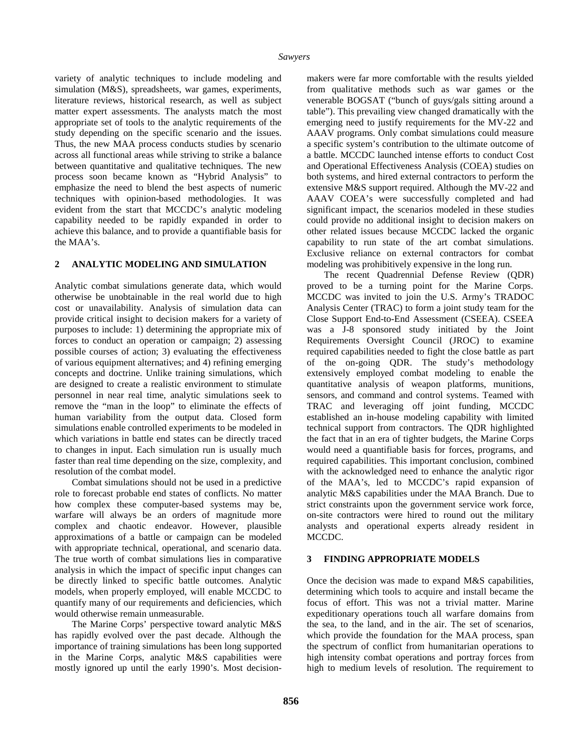variety of analytic techniques to include modeling and simulation (M&S), spreadsheets, war games, experiments, literature reviews, historical research, as well as subject matter expert assessments. The analysts match the most appropriate set of tools to the analytic requirements of the study depending on the specific scenario and the issues. Thus, the new MAA process conducts studies by scenario across all functional areas while striving to strike a balance between quantitative and qualitative techniques. The new process soon became known as "Hybrid Analysis" to emphasize the need to blend the best aspects of numeric techniques with opinion-based methodologies. It was evident from the start that MCCDC's analytic modeling capability needed to be rapidly expanded in order to achieve this balance, and to provide a quantifiable basis for the MAA's.

# **2 ANALYTIC MODELING AND SIMULATION**

Analytic combat simulations generate data, which would otherwise be unobtainable in the real world due to high cost or unavailability. Analysis of simulation data can provide critical insight to decision makers for a variety of purposes to include: 1) determining the appropriate mix of forces to conduct an operation or campaign; 2) assessing possible courses of action; 3) evaluating the effectiveness of various equipment alternatives; and 4) refining emerging concepts and doctrine. Unlike training simulations, which are designed to create a realistic environment to stimulate personnel in near real time, analytic simulations seek to remove the "man in the loop" to eliminate the effects of human variability from the output data. Closed form simulations enable controlled experiments to be modeled in which variations in battle end states can be directly traced to changes in input. Each simulation run is usually much faster than real time depending on the size, complexity, and resolution of the combat model.

Combat simulations should not be used in a predictive role to forecast probable end states of conflicts. No matter how complex these computer-based systems may be, warfare will always be an orders of magnitude more complex and chaotic endeavor. However, plausible approximations of a battle or campaign can be modeled with appropriate technical, operational, and scenario data. The true worth of combat simulations lies in comparative analysis in which the impact of specific input changes can be directly linked to specific battle outcomes. Analytic models, when properly employed, will enable MCCDC to quantify many of our requirements and deficiencies, which would otherwise remain unmeasurable.

The Marine Corps' perspective toward analytic M&S has rapidly evolved over the past decade. Although the importance of training simulations has been long supported in the Marine Corps, analytic M&S capabilities were mostly ignored up until the early 1990's. Most decisionmakers were far more comfortable with the results yielded from qualitative methods such as war games or the venerable BOGSAT ("bunch of guys/gals sitting around a table"). This prevailing view changed dramatically with the emerging need to justify requirements for the MV-22 and AAAV programs. Only combat simulations could measure a specific system's contribution to the ultimate outcome of a battle. MCCDC launched intense efforts to conduct Cost and Operational Effectiveness Analysis (COEA) studies on both systems, and hired external contractors to perform the extensive M&S support required. Although the MV-22 and AAAV COEA's were successfully completed and had significant impact, the scenarios modeled in these studies could provide no additional insight to decision makers on other related issues because MCCDC lacked the organic capability to run state of the art combat simulations. Exclusive reliance on external contractors for combat modeling was prohibitively expensive in the long run.

The recent Quadrennial Defense Review (QDR) proved to be a turning point for the Marine Corps. MCCDC was invited to join the U.S. Army's TRADOC Analysis Center (TRAC) to form a joint study team for the Close Support End-to-End Assessment (CSEEA). CSEEA was a J-8 sponsored study initiated by the Joint Requirements Oversight Council (JROC) to examine required capabilities needed to fight the close battle as part of the on-going QDR. The study's methodology extensively employed combat modeling to enable the quantitative analysis of weapon platforms, munitions, sensors, and command and control systems. Teamed with TRAC and leveraging off joint funding, MCCDC established an in-house modeling capability with limited technical support from contractors. The QDR highlighted the fact that in an era of tighter budgets, the Marine Corps would need a quantifiable basis for forces, programs, and required capabilities. This important conclusion, combined with the acknowledged need to enhance the analytic rigor of the MAA's, led to MCCDC's rapid expansion of analytic M&S capabilities under the MAA Branch. Due to strict constraints upon the government service work force, on-site contractors were hired to round out the military analysts and operational experts already resident in MCCDC.

### **3 FINDING APPROPRIATE MODELS**

Once the decision was made to expand M&S capabilities, determining which tools to acquire and install became the focus of effort. This was not a trivial matter. Marine expeditionary operations touch all warfare domains from the sea, to the land, and in the air. The set of scenarios, which provide the foundation for the MAA process, span the spectrum of conflict from humanitarian operations to high intensity combat operations and portray forces from high to medium levels of resolution. The requirement to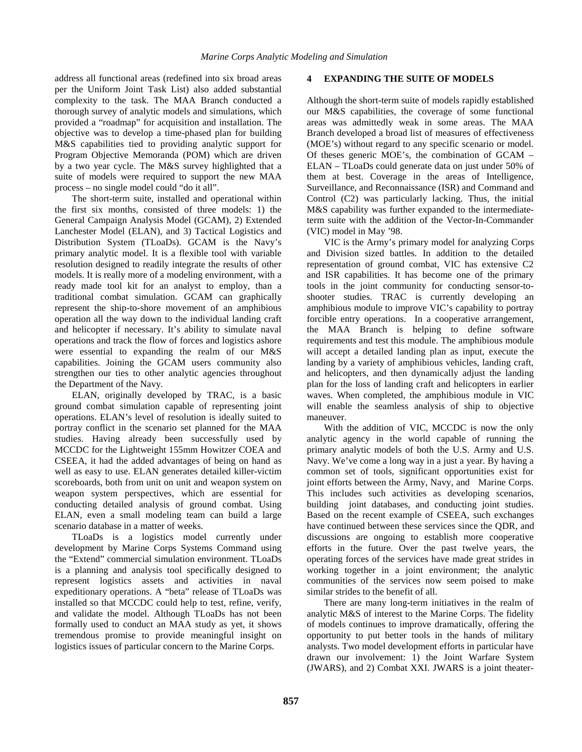address all functional areas (redefined into six broad areas per the Uniform Joint Task List) also added substantial complexity to the task. The MAA Branch conducted a thorough survey of analytic models and simulations, which provided a "roadmap" for acquisition and installation. The objective was to develop a time-phased plan for building M&S capabilities tied to providing analytic support for Program Objective Memoranda (POM) which are driven by a two year cycle. The M&S survey highlighted that a suite of models were required to support the new MAA process – no single model could "do it all".

The short-term suite, installed and operational within the first six months, consisted of three models: 1) the General Campaign Analysis Model (GCAM), 2) Extended Lanchester Model (ELAN), and 3) Tactical Logistics and Distribution System (TLoaDs). GCAM is the Navy's primary analytic model. It is a flexible tool with variable resolution designed to readily integrate the results of other models. It is really more of a modeling environment, with a ready made tool kit for an analyst to employ, than a traditional combat simulation. GCAM can graphically represent the ship-to-shore movement of an amphibious operation all the way down to the individual landing craft and helicopter if necessary. It's ability to simulate naval operations and track the flow of forces and logistics ashore were essential to expanding the realm of our M&S capabilities. Joining the GCAM users community also strengthen our ties to other analytic agencies throughout the Department of the Navy.

ELAN, originally developed by TRAC, is a basic ground combat simulation capable of representing joint operations. ELAN's level of resolution is ideally suited to portray conflict in the scenario set planned for the MAA studies. Having already been successfully used by MCCDC for the Lightweight 155mm Howitzer COEA and CSEEA, it had the added advantages of being on hand as well as easy to use. ELAN generates detailed killer-victim scoreboards, both from unit on unit and weapon system on weapon system perspectives, which are essential for conducting detailed analysis of ground combat. Using ELAN, even a small modeling team can build a large scenario database in a matter of weeks.

TLoaDs is a logistics model currently under development by Marine Corps Systems Command using the "Extend" commercial simulation environment. TLoaDs is a planning and analysis tool specifically designed to represent logistics assets and activities in naval expeditionary operations. A "beta" release of TLoaDs was installed so that MCCDC could help to test, refine, verify, and validate the model. Although TLoaDs has not been formally used to conduct an MAA study as yet, it shows tremendous promise to provide meaningful insight on logistics issues of particular concern to the Marine Corps.

# **4 EXPANDING THE SUITE OF MODELS**

Although the short-term suite of models rapidly established our M&S capabilities, the coverage of some functional areas was admittedly weak in some areas. The MAA Branch developed a broad list of measures of effectiveness (MOE's) without regard to any specific scenario or model. Of theses generic MOE's, the combination of GCAM – ELAN – TLoaDs could generate data on just under 50% of them at best. Coverage in the areas of Intelligence, Surveillance, and Reconnaissance (ISR) and Command and Control (C2) was particularly lacking. Thus, the initial M&S capability was further expanded to the intermediateterm suite with the addition of the Vector-In-Commander (VIC) model in May '98.

VIC is the Army's primary model for analyzing Corps and Division sized battles. In addition to the detailed representation of ground combat, VIC has extensive C2 and ISR capabilities. It has become one of the primary tools in the joint community for conducting sensor-toshooter studies. TRAC is currently developing an amphibious module to improve VIC's capability to portray forcible entry operations. In a cooperative arrangement, the MAA Branch is helping to define software requirements and test this module. The amphibious module will accept a detailed landing plan as input, execute the landing by a variety of amphibious vehicles, landing craft, and helicopters, and then dynamically adjust the landing plan for the loss of landing craft and helicopters in earlier waves. When completed, the amphibious module in VIC will enable the seamless analysis of ship to objective maneuver.

With the addition of VIC, MCCDC is now the only analytic agency in the world capable of running the primary analytic models of both the U.S. Army and U.S. Navy. We've come a long way in a just a year. By having a common set of tools, significant opportunities exist for joint efforts between the Army, Navy, and Marine Corps. This includes such activities as developing scenarios, building joint databases, and conducting joint studies. Based on the recent example of CSEEA, such exchanges have continued between these services since the QDR, and discussions are ongoing to establish more cooperative efforts in the future. Over the past twelve years, the operating forces of the services have made great strides in working together in a joint environment; the analytic communities of the services now seem poised to make similar strides to the benefit of all.

There are many long-term initiatives in the realm of analytic M&S of interest to the Marine Corps. The fidelity of models continues to improve dramatically, offering the opportunity to put better tools in the hands of military analysts. Two model development efforts in particular have drawn our involvement: 1) the Joint Warfare System (JWARS), and 2) Combat XXI. JWARS is a joint theater-